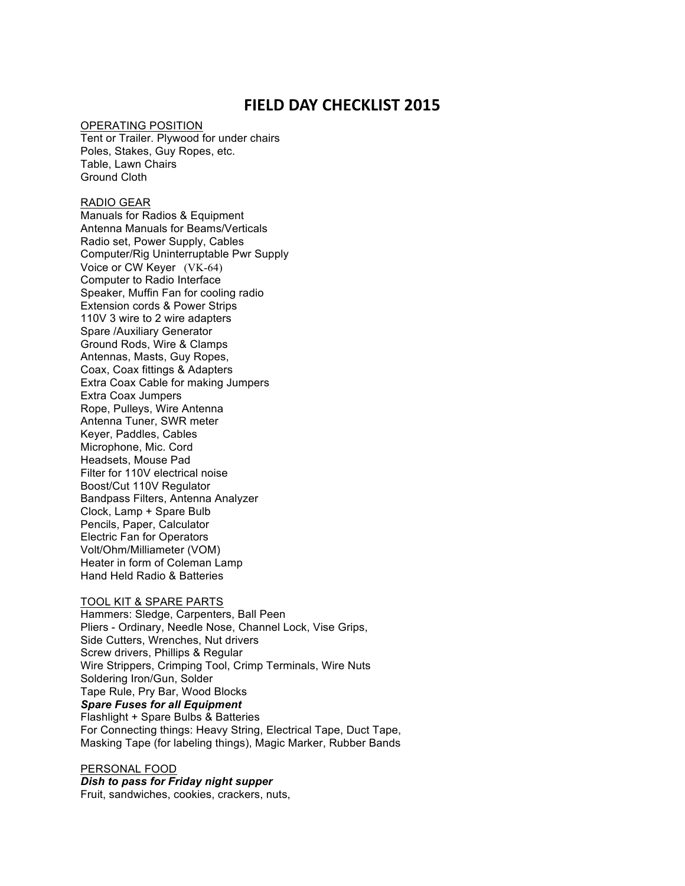# **FIELD DAY CHECKLIST 2015**

#### OPERATING POSITION

Tent or Trailer. Plywood for under chairs Poles, Stakes, Guy Ropes, etc. Table, Lawn Chairs Ground Cloth

## RADIO GEAR

Manuals for Radios & Equipment Antenna Manuals for Beams/Verticals Radio set, Power Supply, Cables Computer/Rig Uninterruptable Pwr Supply Voice or CW Keyer (VK-64) Computer to Radio Interface Speaker, Muffin Fan for cooling radio Extension cords & Power Strips 110V 3 wire to 2 wire adapters Spare /Auxiliary Generator Ground Rods, Wire & Clamps Antennas, Masts, Guy Ropes, Coax, Coax fittings & Adapters Extra Coax Cable for making Jumpers Extra Coax Jumpers Rope, Pulleys, Wire Antenna Antenna Tuner, SWR meter Keyer, Paddles, Cables Microphone, Mic. Cord Headsets, Mouse Pad Filter for 110V electrical noise Boost/Cut 110V Regulator Bandpass Filters, Antenna Analyzer Clock, Lamp + Spare Bulb Pencils, Paper, Calculator Electric Fan for Operators Volt/Ohm/Milliameter (VOM) Heater in form of Coleman Lamp Hand Held Radio & Batteries

#### TOOL KIT & SPARE PARTS

Hammers: Sledge, Carpenters, Ball Peen Pliers - Ordinary, Needle Nose, Channel Lock, Vise Grips, Side Cutters, Wrenches, Nut drivers Screw drivers, Phillips & Regular Wire Strippers, Crimping Tool, Crimp Terminals, Wire Nuts Soldering Iron/Gun, Solder Tape Rule, Pry Bar, Wood Blocks *Spare Fuses for all Equipment* Flashlight + Spare Bulbs & Batteries For Connecting things: Heavy String, Electrical Tape, Duct Tape, Masking Tape (for labeling things), Magic Marker, Rubber Bands

## PERSONAL FOOD

*Dish to pass for Friday night supper*

Fruit, sandwiches, cookies, crackers, nuts,